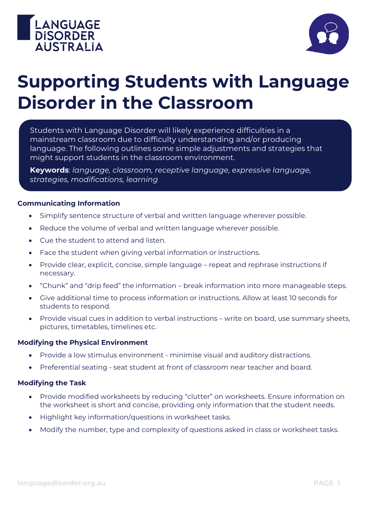



# **Supporting Students with Language Disorder in the Classroom**

Students with Language Disorder will likely experience difficulties in a mainstream classroom due to difficulty understanding and/or producing language. The following outlines some simple adjustments and strategies that might support students in the classroom environment.

**Keywords**: *language, classroom, receptive language, expressive language, strategies, modifications, learning*

#### **Communicating Information**

- Simplify sentence structure of verbal and written language wherever possible.
- Reduce the volume of verbal and written language wherever possible.
- Cue the student to attend and listen.
- Face the student when giving verbal information or instructions.
- Provide clear, explicit, concise, simple language repeat and rephrase instructions if necessary.
- "Chunk" and "drip feed" the information break information into more manageable steps.
- Give additional time to process information or instructions. Allow at least 10 seconds for students to respond.
- Provide visual cues in addition to verbal instructions write on board, use summary sheets, pictures, timetables, timelines etc.

#### **Modifying the Physical Environment**

- Provide a low stimulus environment minimise visual and auditory distractions.
- Preferential seating seat student at front of classroom near teacher and board.

#### **Modifying the Task**

- Provide modified worksheets by reducing "clutter" on worksheets. Ensure information on the worksheet is short and concise, providing only information that the student needs.
- Highlight key information/questions in worksheet tasks.
- Modify the number, type and complexity of questions asked in class or worksheet tasks.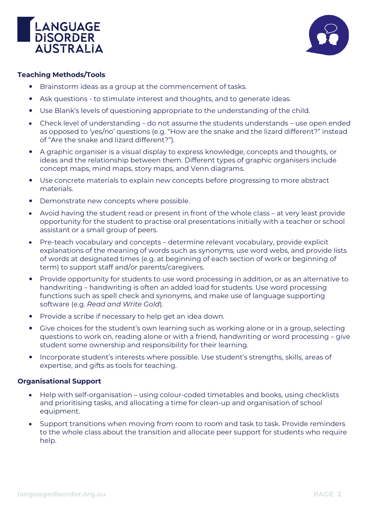



### **Teaching Methods/Tools**

- Brainstorm ideas as a group at the commencement of tasks.
- Ask questions to stimulate interest and thoughts, and to generate ideas.
- Use Blank's levels of questioning appropriate to the understanding of the child.
- Check level of understanding do not assume the students understands use open ended as opposed to 'yes/no' questions (e.g. "How are the snake and the lizard different?" instead of "Are the snake and lizard different?").
- A graphic organiser is a visual display to express knowledge, concepts and thoughts, or ideas and the relationship between them. Different types of graphic organisers include concept maps, mind maps, story maps, and Venn diagrams.
- Use concrete materials to explain new concepts before progressing to more abstract materials.
- Demonstrate new concepts where possible.
- Avoid having the student read or present in front of the whole class *–* at very least provide opportunity for the student to practise oral presentations initially with a teacher or school assistant or a small group of peers.
- Pre-teach vocabulary and concepts determine relevant vocabulary, provide explicit explanations of the meaning of words such as synonyms, use word webs, and provide lists of words at designated times (e.g. at beginning of each section of work or beginning of term) to support staff and/or parents/caregivers.
- Provide opportunity for students to use word processing in addition, or as an alternative to handwriting – handwriting is often an added load for students. Use word processing functions such as spell check and synonyms, and make use of language supporting software (e.g. *Read and Write Gold*).
- Provide a scribe if necessary to help get an idea down.
- Give choices for the student's own learning such as working alone or in a group, selecting questions to work on, reading alone or with a friend, handwriting or word processing – give student some ownership and responsibility for their learning.
- Incorporate student's interests where possible. Use student's strengths, skills, areas of expertise, and gifts as tools for teaching.

#### **Organisational Support**

- Help with self-organisation using colour-coded timetables and books, using checklists and prioritising tasks, and allocating a time for clean-up and organisation of school equipment.
- Support transitions when moving from room to room and task to task. Provide reminders to the whole class about the transition and allocate peer support for students who require help.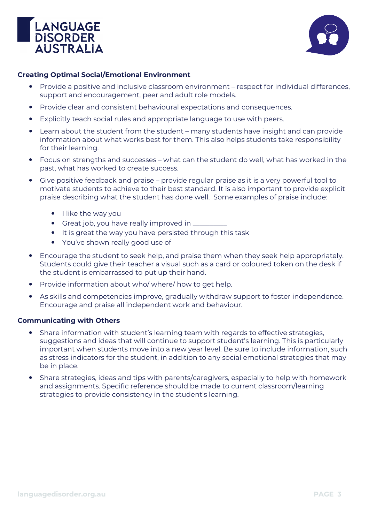



## **Creating Optimal Social/Emotional Environment**

- Provide a positive and inclusive classroom environment respect for individual differences, support and encouragement, peer and adult role models.
- Provide clear and consistent behavioural expectations and consequences.
- Explicitly teach social rules and appropriate language to use with peers.
- Learn about the student from the student many students have insight and can provide information about what works best for them. This also helps students take responsibility for their learning.
- Focus on strengths and successes what can the student do well, what has worked in the past, what has worked to create success.
- Give positive feedback and praise provide regular praise as it is a very powerful tool to motivate students to achieve to their best standard. It is also important to provide explicit praise describing what the student has done well. Some examples of praise include:
	- $\bullet$  I like the way you  $\_\_$
	- Great job, you have really improved in  $\equiv$
	- It is great the way you have persisted through this task
	- You've shown really good use of
- Encourage the student to seek help, and praise them when they seek help appropriately. Students could give their teacher a visual such as a card or coloured token on the desk if the student is embarrassed to put up their hand.
- Provide information about who/ where/ how to get help.
- As skills and competencies improve, gradually withdraw support to foster independence. Encourage and praise all independent work and behaviour.

#### **Communicating with Others**

- Share information with student's learning team with regards to effective strategies, suggestions and ideas that will continue to support student's learning. This is particularly important when students move into a new year level. Be sure to include information, such as stress indicators for the student, in addition to any social emotional strategies that may be in place.
- Share strategies, ideas and tips with parents/caregivers, especially to help with homework and assignments. Specific reference should be made to current classroom/learning strategies to provide consistency in the student's learning.